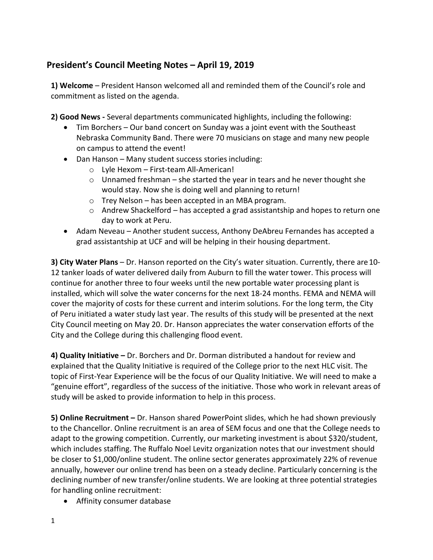## **President's Council Meeting Notes – April 19, 2019**

**1) Welcome** – President Hanson welcomed all and reminded them of the Council's role and commitment as listed on the agenda.

**2) Good News -** Several departments communicated highlights, including the following:

- · Tim Borchers Our band concert on Sunday was a joint event with the Southeast Nebraska Community Band. There were 70 musicians on stage and many new people on campus to attend the event!
- · Dan Hanson Many student success stories including:
	- o Lyle Hexom First-team All-American!
	- $\circ$  Unnamed freshman she started the year in tears and he never thought she would stay. Now she is doing well and planning to return!
	- o Trey Nelson has been accepted in an MBA program.
	- $\circ$  Andrew Shackelford has accepted a grad assistantship and hopes to return one day to work at Peru.
- · Adam Neveau Another student success, Anthony DeAbreu Fernandes has accepted a grad assistantship at UCF and will be helping in their housing department.

**3) City Water Plans** – Dr. Hanson reported on the City's water situation. Currently, there are10- 12 tanker loads of water delivered daily from Auburn to fill the water tower. This process will continue for another three to four weeks until the new portable water processing plant is installed, which will solve the water concerns for the next 18-24 months. FEMA and NEMA will cover the majority of costs for these current and interim solutions. For the long term, the City of Peru initiated a water study last year. The results of this study will be presented at the next City Council meeting on May 20. Dr. Hanson appreciates the water conservation efforts of the City and the College during this challenging flood event.

**4) Quality Initiative –** Dr. Borchers and Dr. Dorman distributed a handout for review and explained that the Quality Initiative is required of the College prior to the next HLC visit. The topic of First-Year Experience will be the focus of our Quality Initiative. We will need to make a "genuine effort", regardless of the success of the initiative. Those who work in relevant areas of study will be asked to provide information to help in this process.

**5) Online Recruitment –** Dr. Hanson shared PowerPoint slides, which he had shown previously to the Chancellor. Online recruitment is an area of SEM focus and one that the College needs to adapt to the growing competition. Currently, our marketing investment is about \$320/student, which includes staffing. The Ruffalo Noel Levitz organization notes that our investment should be closer to \$1,000/online student. The online sector generates approximately 22% of revenue annually, however our online trend has been on a steady decline. Particularly concerning is the declining number of new transfer/online students. We are looking at three potential strategies for handling online recruitment:

· Affinity consumer database